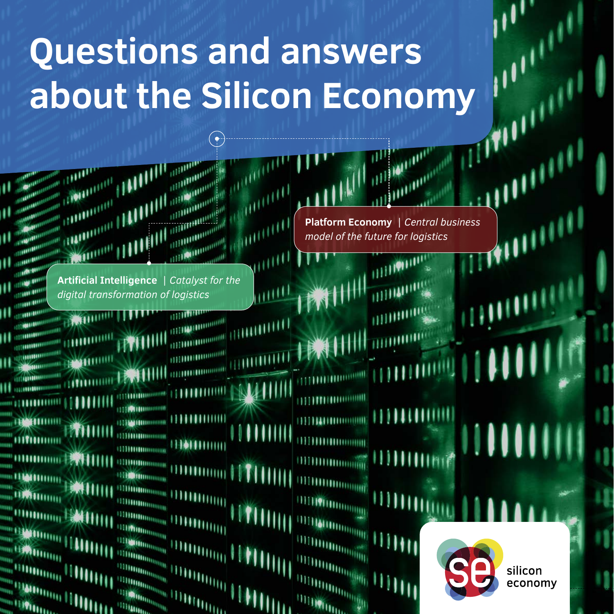# **Questions and answers about the Silicon Economy**

**Artificial Intelligence** | *Catalyst for the digital transformation of logistics*

**BROTH** 

and an antibious and the second state of the second state of the second state of the second state of the second state of the second state of the second state of the second state of the second state of the second state of t

**LEAST THEFT** 

**SOUTH** and the same

113100100000 **TITHUHU TITION BRIDGE**  $m_{\rm H\bar{H}m}$ **ITTS ON BUILDING** 

。。<br>『『『『『『『『』

1111 Sunning

*<u>IIIIMMINI</u>* 

**Platform Economy** | *Central business model of the future for logistics*

111111111111111111

**HIM** 

silicon economy T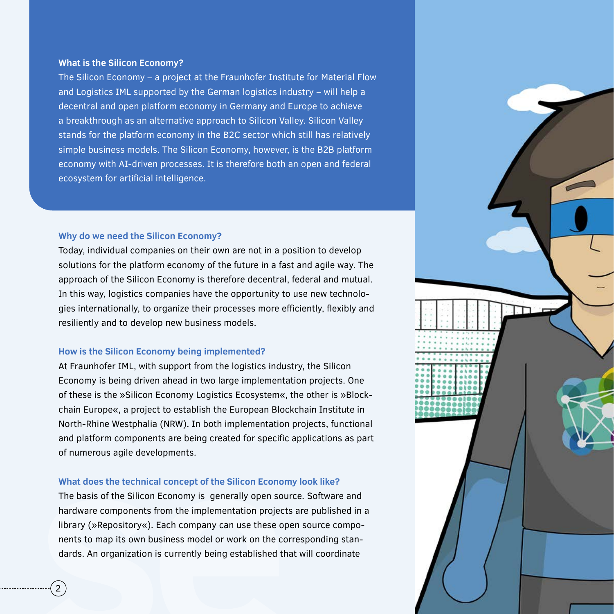#### **What is the Silicon Economy?**

The Silicon Economy – a project at the Fraunhofer Institute for Material Flow and Logistics IML supported by the German logistics industry – will help a decentral and open platform economy in Germany and Europe to achieve a breakthrough as an alternative approach to Silicon Valley. Silicon Valley stands for the platform economy in the B2C sector which still has relatively simple business models. The Silicon Economy, however, is the B2B platform economy with AI-driven processes. It is therefore both an open and federal ecosystem for artificial intelligence.

#### **Why do we need the Silicon Economy?**

Today, individual companies on their own are not in a position to develop solutions for the platform economy of the future in a fast and agile way. The approach of the Silicon Economy is therefore decentral, federal and mutual. In this way, logistics companies have the opportunity to use new technologies internationally, to organize their processes more efficiently, flexibly and resiliently and to develop new business models.

#### **How is the Silicon Economy being implemented?**

At Fraunhofer IML, with support from the logistics industry, the Silicon Economy is being driven ahead in two large implementation projects. One of these is the »Silicon Economy Logistics Ecosystem«, the other is »Blockchain Europe«, a project to establish the European Blockchain Institute in North-Rhine Westphalia (NRW). In both implementation projects, functional and platform components are being created for specific applications as part of numerous agile developments.

### **What does the technical concept of the Silicon Economy look like?**

The basis of the Silicon Economy is generally open source. Software and hardware components from the implementation projects are published in a library (»Repository«). Each company can use these open source components to map its own business model or work on the corresponding standards. An organization is currently being established that will coordinate

2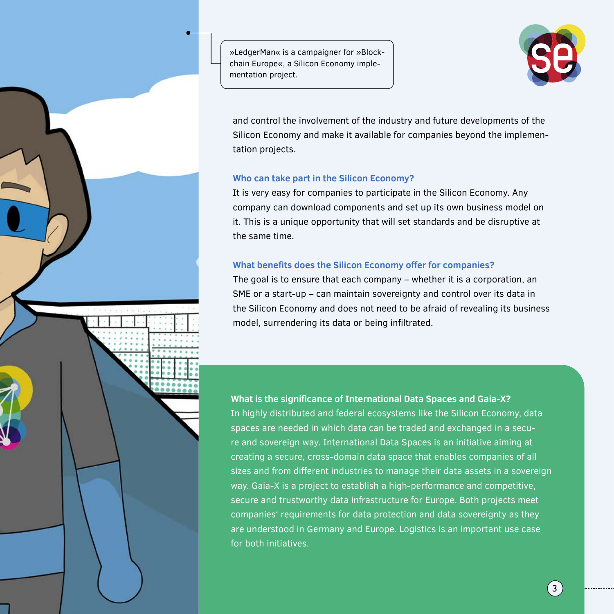»LedgerMan« is a campaigner for »Blockchain Europe«, a Silicon Economy implementation project.



and control the involvement of the industry and future developments of the Silicon Economy and make it available for companies beyond the implementation projects.

#### **Who can take part in the Silicon Economy?**

It is very easy for companies to participate in the Silicon Economy. Any company can download components and set up its own business model on it. This is a unique opportunity that will set standards and be disruptive at the same time.

## **What benefits does the Silicon Economy offer for companies?**

The goal is to ensure that each company – whether it is a corporation, an SME or a start-up – can maintain sovereignty and control over its data in the Silicon Economy and does not need to be afraid of revealing its business model, surrendering its data or being infiltrated.

**What is the significance of International Data Spaces and Gaia-X?**  In highly distributed and federal ecosystems like the Silicon Economy, data spaces are needed in which data can be traded and exchanged in a secure and sovereign way. International Data Spaces is an initiative aiming at creating a secure, cross-domain data space that enables companies of all sizes and from different industries to manage their data assets in a sovereign way. Gaia-X is a project to establish a high-performance and competitive, secure and trustworthy data infrastructure for Europe. Both projects meet companies' requirements for data protection and data sovereignty as they are understood in Germany and Europe. Logistics is an important use case for both initiatives.